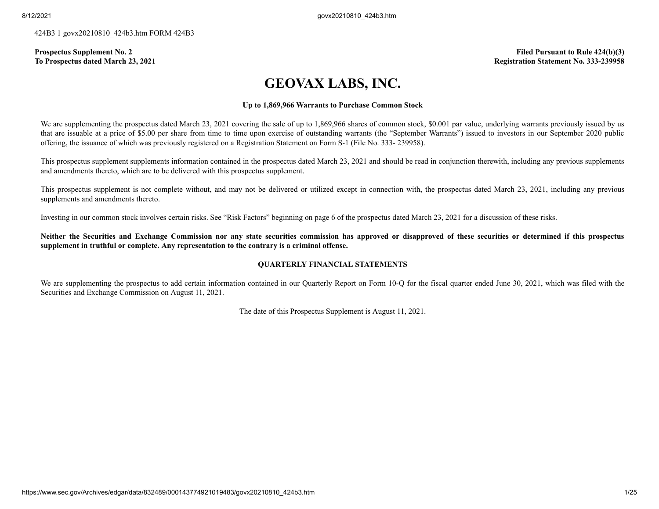424B3 1 govx20210810\_424b3.htm FORM 424B3

#### **Prospectus Supplement No. 2 To Prospectus dated March 23, 2021**

**Filed Pursuant to Rule 424(b)(3) Registration Statement No. 333-239958**

# **GEOVAX LABS, INC.**

#### **Up to 1,869,966 Warrants to Purchase Common Stock**

We are supplementing the prospectus dated March 23, 2021 covering the sale of up to 1,869,966 shares of common stock, \$0.001 par value, underlying warrants previously issued by us that are issuable at a price of \$5.00 per share from time to time upon exercise of outstanding warrants (the "September Warrants") issued to investors in our September 2020 public offering, the issuance of which was previously registered on a Registration Statement on Form S-1 (File No. 333- 239958).

This prospectus supplement supplements information contained in the prospectus dated March 23, 2021 and should be read in conjunction therewith, including any previous supplements and amendments thereto, which are to be delivered with this prospectus supplement.

This prospectus supplement is not complete without, and may not be delivered or utilized except in connection with, the prospectus dated March 23, 2021, including any previous supplements and amendments thereto.

Investing in our common stock involves certain risks. See "Risk Factors" beginning on page 6 of the prospectus dated March 23, 2021 for a discussion of these risks.

Neither the Securities and Exchange Commission nor any state securities commission has approved or disapproved of these securities or determined if this prospectus **supplement in truthful or complete. Any representation to the contrary is a criminal offense.**

#### **QUARTERLY FINANCIAL STATEMENTS**

We are supplementing the prospectus to add certain information contained in our Quarterly Report on Form 10-Q for the fiscal quarter ended June 30, 2021, which was filed with the Securities and Exchange Commission on August 11, 2021.

The date of this Prospectus Supplement is August 11, 2021.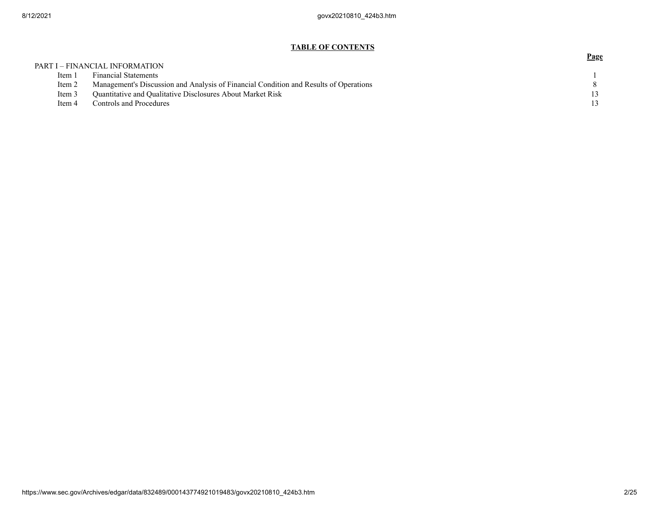# **TABLE OF CONTENTS**

|        |                                                                                       | Page |
|--------|---------------------------------------------------------------------------------------|------|
|        | PART I – FINANCIAL INFORMATION                                                        |      |
| Item 1 | <b>Financial Statements</b>                                                           |      |
| Item 2 | Management's Discussion and Analysis of Financial Condition and Results of Operations |      |
| Item 3 | Quantitative and Qualitative Disclosures About Market Risk                            |      |
| Item 4 | Controls and Procedures                                                               |      |
|        |                                                                                       |      |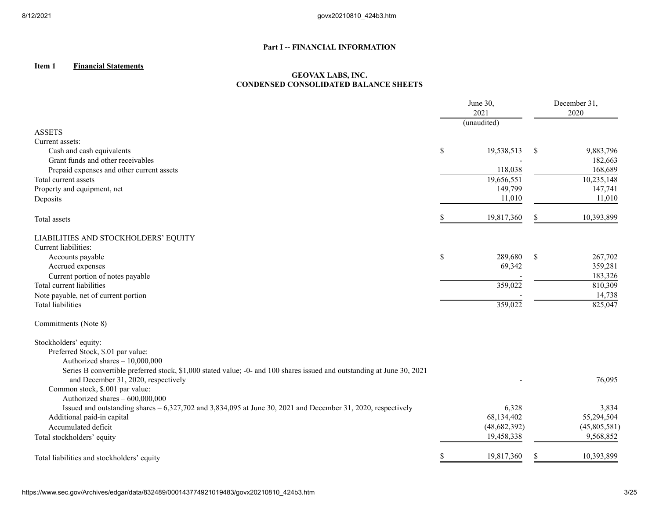# **Part I -- FINANCIAL INFORMATION**

**Item 1 Financial Statements**

# **GEOVAX LABS, INC. CONDENSED CONSOLIDATED BALANCE SHEETS**

|                                                                                                                        | June 30,<br>2021 |                |               | December 31,<br>2020 |
|------------------------------------------------------------------------------------------------------------------------|------------------|----------------|---------------|----------------------|
|                                                                                                                        |                  | (unaudited)    |               |                      |
| <b>ASSETS</b>                                                                                                          |                  |                |               |                      |
| Current assets:                                                                                                        |                  |                |               |                      |
| Cash and cash equivalents                                                                                              | \$               | 19,538,513     | <sup>\$</sup> | 9,883,796            |
| Grant funds and other receivables                                                                                      |                  |                |               | 182,663              |
| Prepaid expenses and other current assets                                                                              |                  | 118,038        |               | 168,689              |
| Total current assets                                                                                                   |                  | 19,656,551     |               | 10,235,148           |
| Property and equipment, net                                                                                            |                  | 149,799        |               | 147,741              |
| Deposits                                                                                                               |                  | 11,010         |               | 11,010               |
| Total assets                                                                                                           | \$               | 19,817,360     | \$            | 10,393,899           |
| LIABILITIES AND STOCKHOLDERS' EQUITY                                                                                   |                  |                |               |                      |
| Current liabilities:                                                                                                   |                  |                |               |                      |
| Accounts payable                                                                                                       | \$               | 289,680        | \$            | 267,702              |
| Accrued expenses                                                                                                       |                  | 69,342         |               | 359,281              |
| Current portion of notes payable                                                                                       |                  |                |               | 183,326              |
| Total current liabilities                                                                                              |                  | 359,022        |               | 810,309              |
| Note payable, net of current portion                                                                                   |                  |                |               | 14,738               |
| <b>Total liabilities</b>                                                                                               |                  | 359,022        |               | 825,047              |
| Commitments (Note 8)                                                                                                   |                  |                |               |                      |
| Stockholders' equity:                                                                                                  |                  |                |               |                      |
| Preferred Stock, \$.01 par value:                                                                                      |                  |                |               |                      |
| Authorized shares - 10,000,000                                                                                         |                  |                |               |                      |
| Series B convertible preferred stock, \$1,000 stated value; -0- and 100 shares issued and outstanding at June 30, 2021 |                  |                |               |                      |
| and December 31, 2020, respectively                                                                                    |                  |                |               | 76,095               |
| Common stock, \$.001 par value:                                                                                        |                  |                |               |                      |
| Authorized shares - 600,000,000                                                                                        |                  |                |               |                      |
| Issued and outstanding shares $-6,327,702$ and $3,834,095$ at June 30, 2021 and December 31, 2020, respectively        |                  | 6,328          |               | 3,834                |
| Additional paid-in capital                                                                                             |                  | 68,134,402     |               | 55,294,504           |
| Accumulated deficit                                                                                                    |                  | (48, 682, 392) |               | (45,805,581)         |
| Total stockholders' equity                                                                                             |                  | 19,458,338     |               | 9,568,852            |
| Total liabilities and stockholders' equity                                                                             | \$               | 19,817,360     | \$            | 10,393,899           |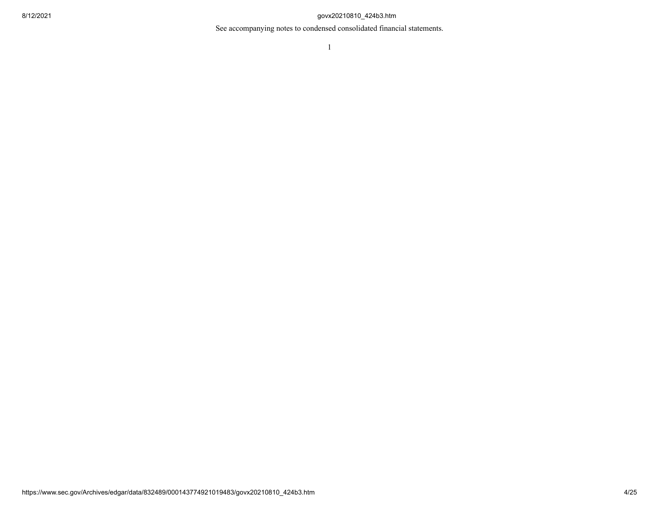# See accompanying notes to condensed consolidated financial statements.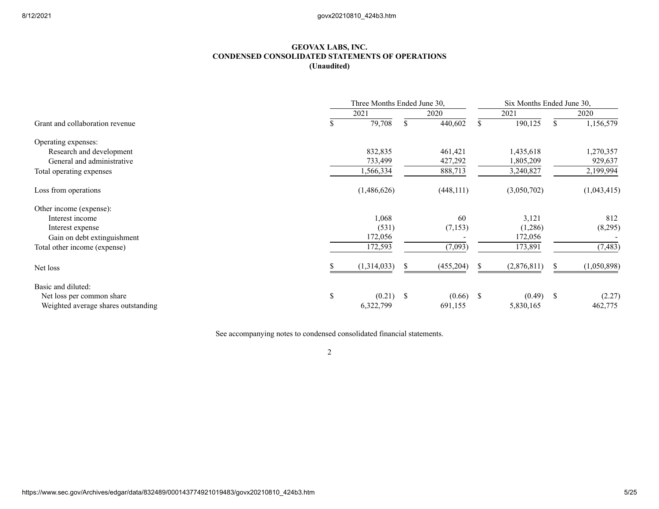# **GEOVAX LABS, INC. CONDENSED CONSOLIDATED STATEMENTS OF OPERATIONS (Unaudited)**

|                                     |    | Three Months Ended June 30, |    | Six Months Ended June 30, |  |             |     |             |
|-------------------------------------|----|-----------------------------|----|---------------------------|--|-------------|-----|-------------|
|                                     |    | 2021                        |    | 2020                      |  | 2021        |     | 2020        |
| Grant and collaboration revenue     | S  | 79,708                      | S. | 440,602                   |  | 190,125     | \$. | 1,156,579   |
| Operating expenses:                 |    |                             |    |                           |  |             |     |             |
| Research and development            |    | 832,835                     |    | 461,421                   |  | 1,435,618   |     | 1,270,357   |
| General and administrative          |    | 733,499                     |    | 427,292                   |  | 1,805,209   |     | 929,637     |
| Total operating expenses            |    | 1,566,334                   |    | 888,713                   |  | 3,240,827   |     | 2,199,994   |
| Loss from operations                |    | (1,486,626)                 |    | (448,111)                 |  | (3,050,702) |     | (1,043,415) |
| Other income (expense):             |    |                             |    |                           |  |             |     |             |
| Interest income                     |    | 1,068                       |    | 60                        |  | 3,121       |     | 812         |
| Interest expense                    |    | (531)                       |    | (7, 153)                  |  | (1,286)     |     | (8,295)     |
| Gain on debt extinguishment         |    | 172,056                     |    |                           |  | 172,056     |     |             |
| Total other income (expense)        |    | 172,593                     |    | (7,093)                   |  | 173,891     |     | (7, 483)    |
| Net loss                            |    | (1,314,033)                 | -S | (455,204)                 |  | (2,876,811) |     | (1,050,898) |
| Basic and diluted:                  |    |                             |    |                           |  |             |     |             |
| Net loss per common share           | \$ | (0.21)                      | -S | $(0.66)$ \$               |  | (0.49)      | -S  | (2.27)      |
| Weighted average shares outstanding |    | 6,322,799                   |    | 691,155                   |  | 5,830,165   |     | 462,775     |

See accompanying notes to condensed consolidated financial statements.

2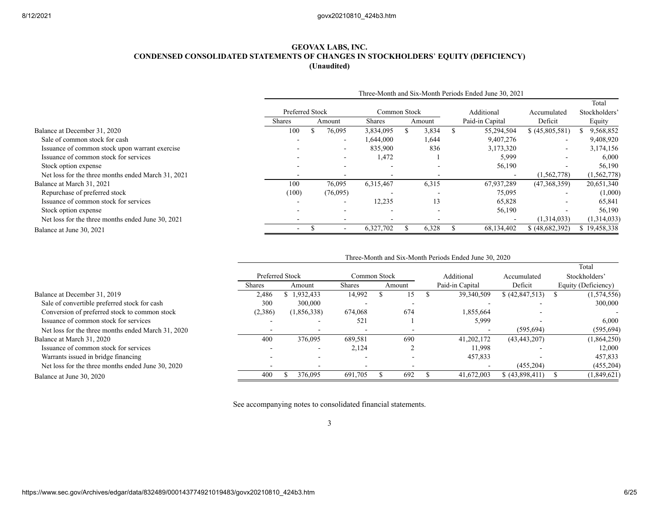# **GEOVAX LABS, INC. CONDENSED CONSOLIDATED STATEMENTS OF CHANGES IN STOCKHOLDERS**' **EQUITY (DEFICIENCY) (Unaudited)**

|                                                    |               | Three-Month and Six-Month Periods Ended June 30, 2021 |                          |                         |              |                 |  |                          |                          |  |               |  |
|----------------------------------------------------|---------------|-------------------------------------------------------|--------------------------|-------------------------|--------------|-----------------|--|--------------------------|--------------------------|--|---------------|--|
|                                                    |               |                                                       |                          |                         |              |                 |  |                          |                          |  | Total         |  |
|                                                    |               | Preferred Stock                                       |                          |                         | Common Stock |                 |  | Additional               | Accumulated              |  | Stockholders' |  |
|                                                    | <b>Shares</b> |                                                       | Amount                   | <b>Shares</b><br>Amount |              | Paid-in Capital |  | Deficit                  | Equity                   |  |               |  |
| Balance at December 31, 2020                       | 100           |                                                       | 76,095                   | 3,834,095               |              | 3,834           |  | 55,294,504               | \$ (45,805,581)          |  | 9,568,852     |  |
| Sale of common stock for cash                      |               |                                                       | $\overline{\phantom{0}}$ | 1,644,000               |              | 1,644           |  | 9,407,276                | $\sim$                   |  | 9,408,920     |  |
| Issuance of common stock upon warrant exercise     |               |                                                       | $\blacksquare$           | 835,900                 |              | 836             |  | 3,173,320                | $\sim$                   |  | 3,174,156     |  |
| Issuance of common stock for services              |               |                                                       | $\overline{\phantom{a}}$ | 1,472                   |              |                 |  | 5,999                    |                          |  | 6,000         |  |
| Stock option expense                               |               |                                                       |                          |                         |              |                 |  | 56,190                   |                          |  | 56,190        |  |
| Net loss for the three months ended March 31, 2021 |               |                                                       |                          | -                       |              |                 |  | $\overline{\phantom{a}}$ | (1, 562, 778)            |  | (1,562,778)   |  |
| Balance at March 31, 2021                          | 100           |                                                       | 76,095                   | 6,315,467               |              | 6,315           |  | 67,937,289               | (47,368,359)             |  | 20,651,340    |  |
| Repurchase of preferred stock                      | (100)         |                                                       | (76,095)                 |                         |              |                 |  | 75,095                   |                          |  | (1,000)       |  |
| Issuance of common stock for services              |               |                                                       |                          | 12,235                  |              | 13              |  | 65,828                   | $\overline{\phantom{0}}$ |  | 65,841        |  |
| Stock option expense                               |               |                                                       |                          |                         |              |                 |  | 56,190                   |                          |  | 56,190        |  |
| Net loss for the three months ended June 30, 2021  |               |                                                       |                          |                         |              |                 |  |                          | (1,314,033)              |  | (1,314,033)   |  |
| Balance at June 30, 2021                           |               |                                                       |                          | 6,327,702               |              | 6,328           |  | 68,134,402               | \$ (48,682,392)          |  | \$19,458,338  |  |

Three-Month and Six-Month Periods Ended June 30, 2020

|                                                    |                          |                          |                          |                          |                 |            |                          |               | Total               |
|----------------------------------------------------|--------------------------|--------------------------|--------------------------|--------------------------|-----------------|------------|--------------------------|---------------|---------------------|
|                                                    |                          | Preferred Stock          |                          | Common Stock             |                 | Additional | Accumulated              | Stockholders' |                     |
|                                                    | Shares                   | Amount                   | <b>Shares</b>            | Amount                   | Paid-in Capital |            | Deficit                  |               | Equity (Deficiency) |
| Balance at December 31, 2019                       | 2,486                    | \$1,932,433              | 14,992                   | 15                       |                 | 39,340,509 | (42, 847, 513)           |               | (1,574,556)         |
| Sale of convertible preferred stock for cash       | 300                      | 300,000                  | $\overline{\phantom{0}}$ |                          |                 |            | $\overline{\phantom{0}}$ |               | 300,000             |
| Conversion of preferred stock to common stock      | (2,386)                  | (1,856,338)              | 674,068                  | 674                      |                 | 1,855,664  |                          |               |                     |
| Issuance of common stock for services              | $\overline{\phantom{0}}$ |                          | 521                      |                          |                 | 5,999      |                          |               | 6,000               |
| Net loss for the three months ended March 31, 2020 | $\overline{\phantom{0}}$ | $\overline{\phantom{0}}$ | $\overline{\phantom{0}}$ | $\overline{\phantom{0}}$ |                 |            | (595, 694)               |               | (595, 694)          |
| Balance at March 31, 2020                          | 400                      | 376,095                  | 689.581                  | 690                      |                 | 41,202,172 | (43, 443, 207)           |               | (1,864,250)         |
| Issuance of common stock for services              | $\overline{\phantom{0}}$ |                          | 2,124                    |                          |                 | 11.998     | $\overline{\phantom{0}}$ |               | 12,000              |
| Warrants issued in bridge financing                |                          |                          | $\overline{\phantom{0}}$ |                          |                 | 457,833    |                          |               | 457,833             |
| Net loss for the three months ended June 30, 2020  |                          |                          |                          |                          |                 |            | (455, 204)               |               | (455, 204)          |
| Balance at June 30, 2020                           | 400                      | 376,095                  | 691,705                  | 692                      |                 | 41,672,003 | \$ (43,898,411)          |               | (1,849,621)         |

See accompanying notes to consolidated financial statements.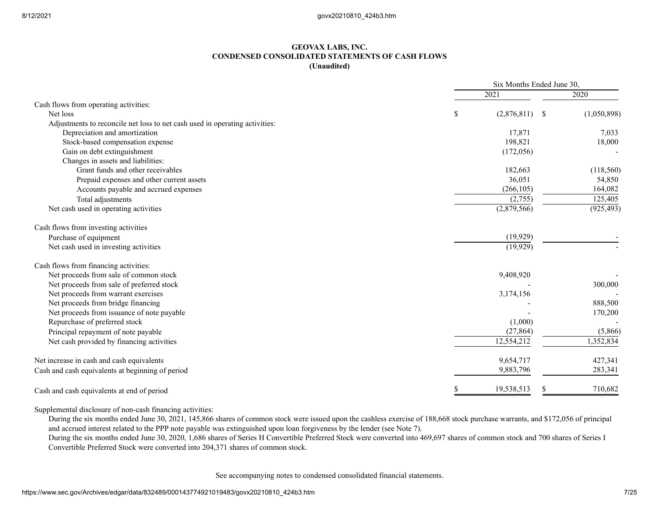#### **GEOVAX LABS, INC. CONDENSED CONSOLIDATED STATEMENTS OF CASH FLOWS (Unaudited)**

|                                                                             | Six Months Ended June 30, |      |             |  |  |  |
|-----------------------------------------------------------------------------|---------------------------|------|-------------|--|--|--|
|                                                                             | 2021                      |      | 2020        |  |  |  |
| Cash flows from operating activities:                                       |                           |      |             |  |  |  |
| Net loss                                                                    | (2,876,811)<br>\$         | - \$ | (1,050,898) |  |  |  |
| Adjustments to reconcile net loss to net cash used in operating activities: |                           |      |             |  |  |  |
| Depreciation and amortization                                               | 17,871                    |      | 7,033       |  |  |  |
| Stock-based compensation expense                                            | 198,821                   |      | 18,000      |  |  |  |
| Gain on debt extinguishment                                                 | (172,056)                 |      |             |  |  |  |
| Changes in assets and liabilities:                                          |                           |      |             |  |  |  |
| Grant funds and other receivables                                           | 182,663                   |      | (118, 560)  |  |  |  |
| Prepaid expenses and other current assets                                   | 36,051                    |      | 54,850      |  |  |  |
| Accounts payable and accrued expenses                                       | (266, 105)                |      | 164,082     |  |  |  |
| Total adjustments                                                           | (2,755)                   |      | 125,405     |  |  |  |
| Net cash used in operating activities                                       | (2,879,566)               |      | (925, 493)  |  |  |  |
| Cash flows from investing activities                                        |                           |      |             |  |  |  |
| Purchase of equipment                                                       | (19,929)                  |      |             |  |  |  |
| Net cash used in investing activities                                       | (19,929)                  |      |             |  |  |  |
| Cash flows from financing activities:                                       |                           |      |             |  |  |  |
| Net proceeds from sale of common stock                                      | 9,408,920                 |      |             |  |  |  |
| Net proceeds from sale of preferred stock                                   |                           |      | 300,000     |  |  |  |
| Net proceeds from warrant exercises                                         | 3,174,156                 |      |             |  |  |  |
| Net proceeds from bridge financing                                          |                           |      | 888,500     |  |  |  |
| Net proceeds from issuance of note payable                                  |                           |      | 170,200     |  |  |  |
| Repurchase of preferred stock                                               | (1,000)                   |      |             |  |  |  |
| Principal repayment of note payable                                         | (27, 864)                 |      | (5,866)     |  |  |  |
| Net cash provided by financing activities                                   | 12,554,212                |      | 1,352,834   |  |  |  |
| Net increase in cash and cash equivalents                                   | 9,654,717                 |      | 427,341     |  |  |  |
| Cash and cash equivalents at beginning of period                            | 9,883,796                 |      | 283,341     |  |  |  |
| Cash and cash equivalents at end of period                                  | 19,538,513                |      | 710,682     |  |  |  |

Supplemental disclosure of non-cash financing activities:

During the six months ended June 30, 2021, 145,866 shares of common stock were issued upon the cashless exercise of 188,668 stock purchase warrants, and \$172,056 of principal and accrued interest related to the PPP note payable was extinguished upon loan forgiveness by the lender (see Note 7).

During the six months ended June 30, 2020, 1,686 shares of Series H Convertible Preferred Stock were converted into 469,697 shares of common stock and 700 shares of Series I Convertible Preferred Stock were converted into 204,371 shares of common stock.

See accompanying notes to condensed consolidated financial statements.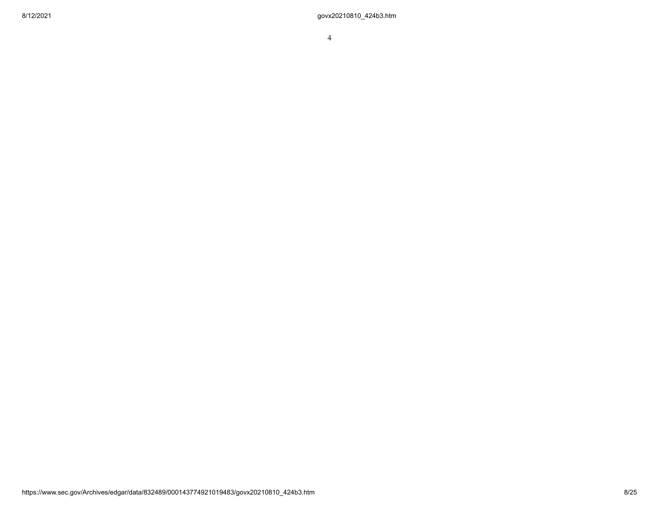4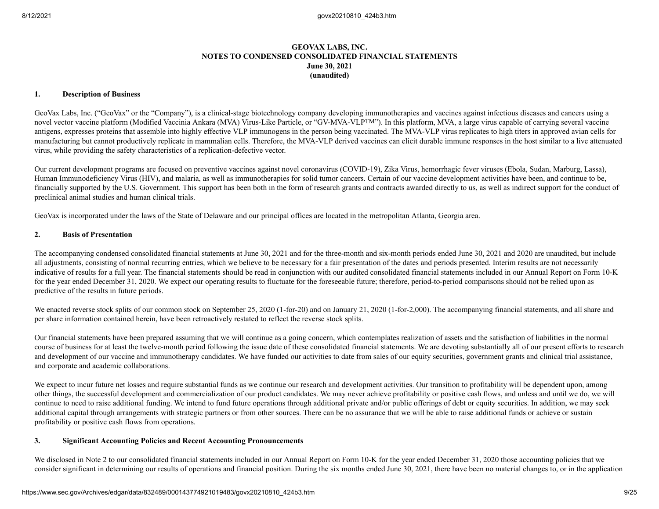# **GEOVAX LABS, INC. NOTES TO CONDENSED CONSOLIDATED FINANCIAL STATEMENTS June 30, 2021 (unaudited)**

#### **1. Description of Business**

GeoVax Labs, Inc. ("GeoVax" or the "Company"), is a clinical-stage biotechnology company developing immunotherapies and vaccines against infectious diseases and cancers using a novel vector vaccine platform (Modified Vaccinia Ankara (MVA) Virus-Like Particle, or "GV-MVA-VLPTM"). In this platform, MVA, a large virus capable of carrying several vaccine antigens, expresses proteins that assemble into highly effective VLP immunogens in the person being vaccinated. The MVA-VLP virus replicates to high titers in approved avian cells for manufacturing but cannot productively replicate in mammalian cells. Therefore, the MVA-VLP derived vaccines can elicit durable immune responses in the host similar to a live attenuated virus, while providing the safety characteristics of a replication-defective vector.

Our current development programs are focused on preventive vaccines against novel coronavirus (COVID-19), Zika Virus, hemorrhagic fever viruses (Ebola, Sudan, Marburg, Lassa), Human Immunodeficiency Virus (HIV), and malaria, as well as immunotherapies for solid tumor cancers. Certain of our vaccine development activities have been, and continue to be, financially supported by the U.S. Government. This support has been both in the form of research grants and contracts awarded directly to us, as well as indirect support for the conduct of preclinical animal studies and human clinical trials.

GeoVax is incorporated under the laws of the State of Delaware and our principal offices are located in the metropolitan Atlanta, Georgia area.

# **2. Basis of Presentation**

The accompanying condensed consolidated financial statements at June 30, 2021 and for the three-month and six-month periods ended June 30, 2021 and 2020 are unaudited, but include all adjustments, consisting of normal recurring entries, which we believe to be necessary for a fair presentation of the dates and periods presented. Interim results are not necessarily indicative of results for a full year. The financial statements should be read in conjunction with our audited consolidated financial statements included in our Annual Report on Form 10-K for the year ended December 31, 2020. We expect our operating results to fluctuate for the foreseeable future; therefore, period-to-period comparisons should not be relied upon as predictive of the results in future periods.

We enacted reverse stock splits of our common stock on September 25, 2020 (1-for-20) and on January 21, 2020 (1-for-2,000). The accompanying financial statements, and all share and per share information contained herein, have been retroactively restated to reflect the reverse stock splits.

Our financial statements have been prepared assuming that we will continue as a going concern, which contemplates realization of assets and the satisfaction of liabilities in the normal course of business for at least the twelve-month period following the issue date of these consolidated financial statements. We are devoting substantially all of our present efforts to research and development of our vaccine and immunotherapy candidates. We have funded our activities to date from sales of our equity securities, government grants and clinical trial assistance, and corporate and academic collaborations.

We expect to incur future net losses and require substantial funds as we continue our research and development activities. Our transition to profitability will be dependent upon, among other things, the successful development and commercialization of our product candidates. We may never achieve profitability or positive cash flows, and unless and until we do, we will continue to need to raise additional funding. We intend to fund future operations through additional private and/or public offerings of debt or equity securities. In addition, we may seek additional capital through arrangements with strategic partners or from other sources. There can be no assurance that we will be able to raise additional funds or achieve or sustain profitability or positive cash flows from operations.

#### **3. Significant Accounting Policies and Recent Accounting Pronouncements**

We disclosed in Note 2 to our consolidated financial statements included in our Annual Report on Form 10-K for the year ended December 31, 2020 those accounting policies that we consider significant in determining our results of operations and financial position. During the six months ended June 30, 2021, there have been no material changes to, or in the application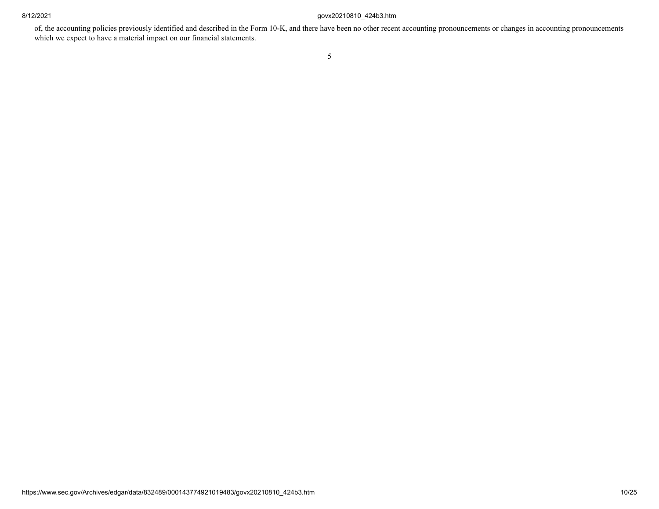of, the accounting policies previously identified and described in the Form 10-K, and there have been no other recent accounting pronouncements or changes in accounting pronouncements which we expect to have a material impact on our financial statements.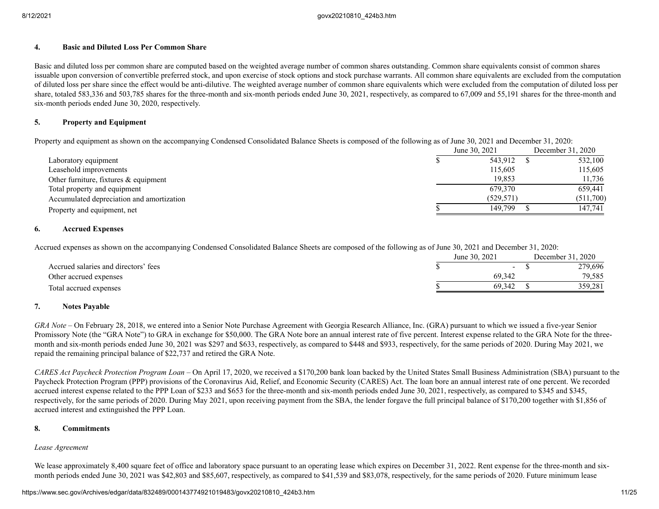#### **4. Basic and Diluted Loss Per Common Share**

Basic and diluted loss per common share are computed based on the weighted average number of common shares outstanding. Common share equivalents consist of common shares issuable upon conversion of convertible preferred stock, and upon exercise of stock options and stock purchase warrants. All common share equivalents are excluded from the computation of diluted loss per share since the effect would be anti-dilutive. The weighted average number of common share equivalents which were excluded from the computation of diluted loss per share, totaled 583,336 and 503,785 shares for the three-month and six-month periods ended June 30, 2021, respectively, as compared to 67,009 and 55,191 shares for the three-month and six-month periods ended June 30, 2020, respectively.

### **5. Property and Equipment**

Property and equipment as shown on the accompanying Condensed Consolidated Balance Sheets is composed of the following as of June 30, 2021 and December 31, 2020:

|                                           | June 30, 2021 | December 31, 2020 |  |  |
|-------------------------------------------|---------------|-------------------|--|--|
| Laboratory equipment                      | 543.912       | 532,100           |  |  |
| Leasehold improvements                    | 115,605       | 115,605           |  |  |
| Other furniture, fixtures & equipment     | 19.853        | 11,736            |  |  |
| Total property and equipment              | 679,370       | 659.441           |  |  |
| Accumulated depreciation and amortization | (529, 571)    | (511,700)         |  |  |
| Property and equipment, net               | 149,799       | 147.741           |  |  |

#### **6. Accrued Expenses**

Accrued expenses as shown on the accompanying Condensed Consolidated Balance Sheets are composed of the following as of June 30, 2021 and December 31, 2020:

|                                      | June 30, 2021 | December 31, 2020 |
|--------------------------------------|---------------|-------------------|
| Accrued salaries and directors' fees |               | 279,696           |
| Other accrued expenses               | 69.342        | 79.585            |
| Total accrued expenses               | 69.342        | 359.281           |
|                                      |               |                   |

#### **7. Notes Payable**

*GRA Note* – On February 28, 2018, we entered into a Senior Note Purchase Agreement with Georgia Research Alliance, Inc. (GRA) pursuant to which we issued a five-year Senior Promissory Note (the "GRA Note") to GRA in exchange for \$50,000. The GRA Note bore an annual interest rate of five percent. Interest expense related to the GRA Note for the threemonth and six-month periods ended June 30, 2021 was \$297 and \$633, respectively, as compared to \$448 and \$933, respectively, for the same periods of 2020. During May 2021, we repaid the remaining principal balance of \$22,737 and retired the GRA Note.

*CARES Act Paycheck Protection Program Loan* – On April 17, 2020, we received a \$170,200 bank loan backed by the United States Small Business Administration (SBA) pursuant to the Paycheck Protection Program (PPP) provisions of the Coronavirus Aid, Relief, and Economic Security (CARES) Act. The loan bore an annual interest rate of one percent. We recorded accrued interest expense related to the PPP Loan of \$233 and \$653 for the three-month and six-month periods ended June 30, 2021, respectively, as compared to \$345 and \$345, respectively, for the same periods of 2020. During May 2021, upon receiving payment from the SBA, the lender forgave the full principal balance of \$170,200 together with \$1,856 of accrued interest and extinguished the PPP Loan.

#### **8. Commitments**

#### *Lease Agreement*

We lease approximately 8,400 square feet of office and laboratory space pursuant to an operating lease which expires on December 31, 2022. Rent expense for the three-month and sixmonth periods ended June 30, 2021 was \$42,803 and \$85,607, respectively, as compared to \$41,539 and \$83,078, respectively, for the same periods of 2020. Future minimum lease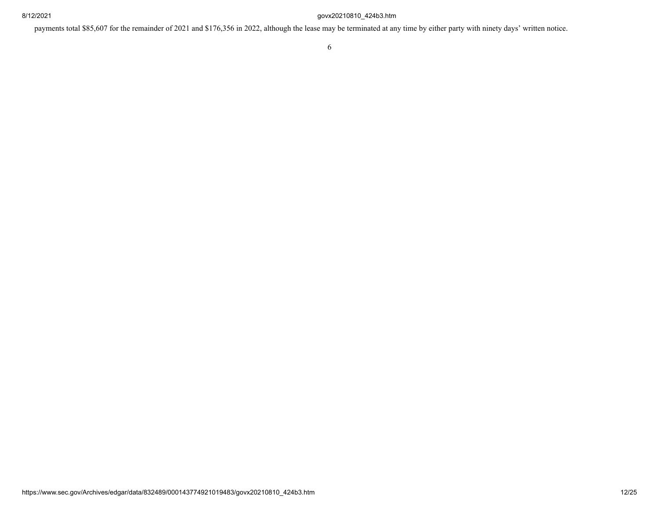payments total \$85,607 for the remainder of 2021 and \$176,356 in 2022, although the lease may be terminated at any time by either party with ninety days' written notice.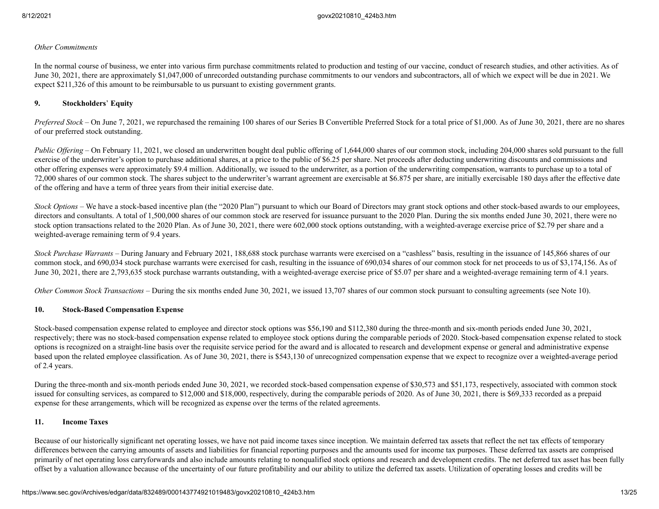#### *Other Commitments*

In the normal course of business, we enter into various firm purchase commitments related to production and testing of our vaccine, conduct of research studies, and other activities. As of June 30, 2021, there are approximately \$1,047,000 of unrecorded outstanding purchase commitments to our vendors and subcontractors, all of which we expect will be due in 2021. We expect \$211,326 of this amount to be reimbursable to us pursuant to existing government grants.

### **9. Stockholders**' **Equity**

*Preferred Stock* – On June 7, 2021, we repurchased the remaining 100 shares of our Series B Convertible Preferred Stock for a total price of \$1,000. As of June 30, 2021, there are no shares of our preferred stock outstanding.

*Public Offering* – On February 11, 2021, we closed an underwritten bought deal public offering of 1,644,000 shares of our common stock, including 204,000 shares sold pursuant to the full exercise of the underwriter's option to purchase additional shares, at a price to the public of \$6.25 per share. Net proceeds after deducting underwriting discounts and commissions and other offering expenses were approximately \$9.4 million. Additionally, we issued to the underwriter, as a portion of the underwriting compensation, warrants to purchase up to a total of 72,000 shares of our common stock. The shares subject to the underwriter's warrant agreement are exercisable at \$6.875 per share, are initially exercisable 180 days after the effective date of the offering and have a term of three years from their initial exercise date.

*Stock Options* – We have a stock-based incentive plan (the "2020 Plan") pursuant to which our Board of Directors may grant stock options and other stock-based awards to our employees, directors and consultants. A total of 1,500,000 shares of our common stock are reserved for issuance pursuant to the 2020 Plan. During the six months ended June 30, 2021, there were no stock option transactions related to the 2020 Plan. As of June 30, 2021, there were 602,000 stock options outstanding, with a weighted-average exercise price of \$2.79 per share and a weighted-average remaining term of 9.4 years.

*Stock Purchase Warrants* – During January and February 2021, 188,688 stock purchase warrants were exercised on a "cashless" basis, resulting in the issuance of 145,866 shares of our common stock, and 690,034 stock purchase warrants were exercised for cash, resulting in the issuance of 690,034 shares of our common stock for net proceeds to us of \$3,174,156. As of June 30, 2021, there are 2,793,635 stock purchase warrants outstanding, with a weighted-average exercise price of \$5.07 per share and a weighted-average remaining term of 4.1 years.

*Other Common Stock Transactions* – During the six months ended June 30, 2021, we issued 13,707 shares of our common stock pursuant to consulting agreements (see Note 10).

#### **10. Stock-Based Compensation Expense**

Stock-based compensation expense related to employee and director stock options was \$56,190 and \$112,380 during the three-month and six-month periods ended June 30, 2021, respectively; there was no stock-based compensation expense related to employee stock options during the comparable periods of 2020. Stock-based compensation expense related to stock options is recognized on a straight-line basis over the requisite service period for the award and is allocated to research and development expense or general and administrative expense based upon the related employee classification. As of June 30, 2021, there is \$543,130 of unrecognized compensation expense that we expect to recognize over a weighted-average period of 2.4 years.

During the three-month and six-month periods ended June 30, 2021, we recorded stock-based compensation expense of \$30,573 and \$51,173, respectively, associated with common stock issued for consulting services, as compared to \$12,000 and \$18,000, respectively, during the comparable periods of 2020. As of June 30, 2021, there is \$69,333 recorded as a prepaid expense for these arrangements, which will be recognized as expense over the terms of the related agreements.

# **11. Income Taxes**

Because of our historically significant net operating losses, we have not paid income taxes since inception. We maintain deferred tax assets that reflect the net tax effects of temporary differences between the carrying amounts of assets and liabilities for financial reporting purposes and the amounts used for income tax purposes. These deferred tax assets are comprised primarily of net operating loss carryforwards and also include amounts relating to nonqualified stock options and research and development credits. The net deferred tax asset has been fully offset by a valuation allowance because of the uncertainty of our future profitability and our ability to utilize the deferred tax assets. Utilization of operating losses and credits will be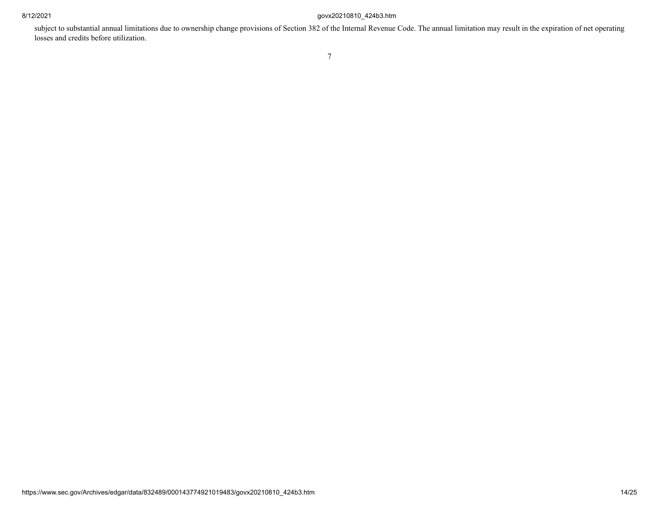subject to substantial annual limitations due to ownership change provisions of Section 382 of the Internal Revenue Code. The annual limitation may result in the expiration of net operating losses and credits before utilization.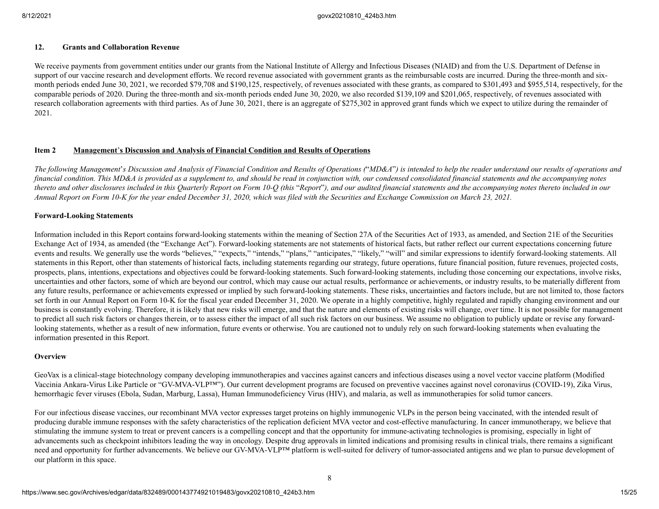#### **12. Grants and Collaboration Revenue**

We receive payments from government entities under our grants from the National Institute of Allergy and Infectious Diseases (NIAID) and from the U.S. Department of Defense in support of our vaccine research and development efforts. We record revenue associated with government grants as the reimbursable costs are incurred. During the three-month and sixmonth periods ended June 30, 2021, we recorded \$79,708 and \$190,125, respectively, of revenues associated with these grants, as compared to \$301,493 and \$955,514, respectively, for the comparable periods of 2020. During the three-month and six-month periods ended June 30, 2020, we also recorded \$139,109 and \$201,065, respectively, of revenues associated with research collaboration agreements with third parties. As of June 30, 2021, there is an aggregate of \$275,302 in approved grant funds which we expect to utilize during the remainder of 2021.

#### **Item 2 Management**'**s Discussion and Analysis of Financial Condition and Results of Operations**

The following Management's Discussion and Analysis of Financial Condition and Results of Operations ("MD&A") is intended to help the reader understand our results of operations and financial condition. This MD&A is provided as a supplement to, and should be read in conjunction with, our condensed consolidated financial statements and the accompanying notes thereto and other disclosures included in this Quarterly Report on Form 10-Q (this "Report"), and our audited financial statements and the accompanying notes thereto included in our Annual Report on Form 10-K for the year ended December 31, 2020, which was filed with the Securities and Exchange Commission on March 23, 2021.

#### **Forward-Looking Statements**

Information included in this Report contains forward-looking statements within the meaning of Section 27A of the Securities Act of 1933, as amended, and Section 21E of the Securities Exchange Act of 1934, as amended (the "Exchange Act"). Forward-looking statements are not statements of historical facts, but rather reflect our current expectations concerning future events and results. We generally use the words "believes," "expects," "intends," "plans," "anticipates," "likely," "will" and similar expressions to identify forward-looking statements. All statements in this Report, other than statements of historical facts, including statements regarding our strategy, future operations, future financial position, future revenues, projected costs, prospects, plans, intentions, expectations and objectives could be forward-looking statements. Such forward-looking statements, including those concerning our expectations, involve risks, uncertainties and other factors, some of which are beyond our control, which may cause our actual results, performance or achievements, or industry results, to be materially different from any future results, performance or achievements expressed or implied by such forward-looking statements. These risks, uncertainties and factors include, but are not limited to, those factors set forth in our Annual Report on Form 10-K for the fiscal year ended December 31, 2020. We operate in a highly competitive, highly regulated and rapidly changing environment and our business is constantly evolving. Therefore, it is likely that new risks will emerge, and that the nature and elements of existing risks will change, over time. It is not possible for management to predict all such risk factors or changes therein, or to assess either the impact of all such risk factors on our business. We assume no obligation to publicly update or revise any forwardlooking statements, whether as a result of new information, future events or otherwise. You are cautioned not to unduly rely on such forward-looking statements when evaluating the information presented in this Report.

# **Overview**

GeoVax is a clinical-stage biotechnology company developing immunotherapies and vaccines against cancers and infectious diseases using a novel vector vaccine platform (Modified Vaccinia Ankara-Virus Like Particle or "GV-MVA-VLP™"). Our current development programs are focused on preventive vaccines against novel coronavirus (COVID-19), Zika Virus, hemorrhagic fever viruses (Ebola, Sudan, Marburg, Lassa), Human Immunodeficiency Virus (HIV), and malaria, as well as immunotherapies for solid tumor cancers.

For our infectious disease vaccines, our recombinant MVA vector expresses target proteins on highly immunogenic VLPs in the person being vaccinated, with the intended result of producing durable immune responses with the safety characteristics of the replication deficient MVA vector and cost-effective manufacturing. In cancer immunotherapy, we believe that stimulating the immune system to treat or prevent cancers is a compelling concept and that the opportunity for immune-activating technologies is promising, especially in light of advancements such as checkpoint inhibitors leading the way in oncology. Despite drug approvals in limited indications and promising results in clinical trials, there remains a significant need and opportunity for further advancements. We believe our GV-MVA-VLP™ platform is well-suited for delivery of tumor-associated antigens and we plan to pursue development of our platform in this space.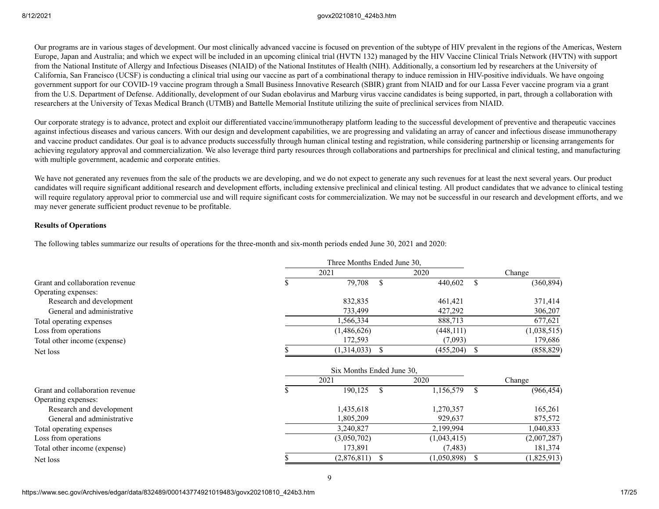Our programs are in various stages of development. Our most clinically advanced vaccine is focused on prevention of the subtype of HIV prevalent in the regions of the Americas, Western Europe, Japan and Australia; and which we expect will be included in an upcoming clinical trial (HVTN 132) managed by the HIV Vaccine Clinical Trials Network (HVTN) with support from the National Institute of Allergy and Infectious Diseases (NIAID) of the National Institutes of Health (NIH). Additionally, a consortium led by researchers at the University of California, San Francisco (UCSF) is conducting a clinical trial using our vaccine as part of a combinational therapy to induce remission in HIV-positive individuals. We have ongoing government support for our COVID-19 vaccine program through a Small Business Innovative Research (SBIR) grant from NIAID and for our Lassa Fever vaccine program via a grant from the U.S. Department of Defense. Additionally, development of our Sudan ebolavirus and Marburg virus vaccine candidates is being supported, in part, through a collaboration with researchers at the University of Texas Medical Branch (UTMB) and Battelle Memorial Institute utilizing the suite of preclinical services from NIAID.

Our corporate strategy is to advance, protect and exploit our differentiated vaccine/immunotherapy platform leading to the successful development of preventive and therapeutic vaccines against infectious diseases and various cancers. With our design and development capabilities, we are progressing and validating an array of cancer and infectious disease immunotherapy and vaccine product candidates. Our goal is to advance products successfully through human clinical testing and registration, while considering partnership or licensing arrangements for achieving regulatory approval and commercialization. We also leverage third party resources through collaborations and partnerships for preclinical and clinical testing, and manufacturing with multiple government, academic and corporate entities.

We have not generated any revenues from the sale of the products we are developing, and we do not expect to generate any such revenues for at least the next several years. Our product candidates will require significant additional research and development efforts, including extensive preclinical and clinical testing. All product candidates that we advance to clinical testing will require regulatory approval prior to commercial use and will require significant costs for commercialization. We may not be successful in our research and development efforts, and we may never generate sufficient product revenue to be profitable.

### **Results of Operations**

The following tables summarize our results of operations for the three-month and six-month periods ended June 30, 2021 and 2020:

|                                 |                           | Three Months Ended June 30, |      |             |               |             |
|---------------------------------|---------------------------|-----------------------------|------|-------------|---------------|-------------|
|                                 |                           | 2021                        | 2020 | Change      |               |             |
| Grant and collaboration revenue |                           | 79,708                      | S    | 440,602     | S             | (360, 894)  |
| Operating expenses:             |                           |                             |      |             |               |             |
| Research and development        |                           | 832,835                     |      | 461,421     |               | 371,414     |
| General and administrative      |                           | 733,499                     |      | 427,292     |               | 306,207     |
| Total operating expenses        |                           | 1,566,334                   |      | 888,713     |               | 677,621     |
| Loss from operations            |                           | (1,486,626)                 |      | (448, 111)  |               | (1,038,515) |
| Total other income (expense)    |                           | 172,593                     |      | (7,093)     |               | 179,686     |
| Net loss                        |                           | (1,314,033)                 | S    | (455, 204)  | -S            | (858, 829)  |
|                                 | Six Months Ended June 30, |                             |      |             |               |             |
|                                 |                           | 2021                        |      | 2020        |               | Change      |
| Grant and collaboration revenue | S.                        | 190,125                     | S    | 1,156,579   | <sup>\$</sup> | (966, 454)  |
| Operating expenses:             |                           |                             |      |             |               |             |
| Research and development        |                           | 1,435,618                   |      | 1,270,357   |               | 165,261     |
| General and administrative      |                           | 1,805,209                   |      | 929,637     |               | 875,572     |
| Total operating expenses        |                           | 3,240,827                   |      | 2,199,994   |               | 1,040,833   |
| Loss from operations            |                           | (3,050,702)                 |      | (1,043,415) |               | (2,007,287) |
| Total other income (expense)    |                           | 173,891                     |      | (7, 483)    |               | 181,374     |
| Net loss                        |                           | (2,876,811)                 | S    | (1,050,898) | -S            | (1,825,913) |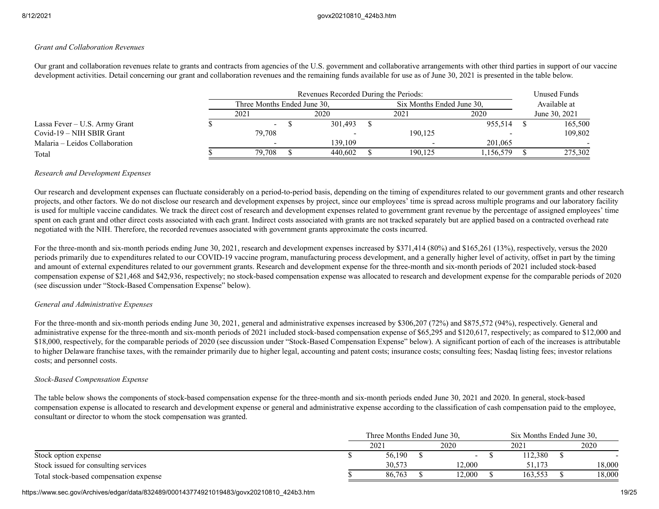### *Grant and Collaboration Revenues*

Our grant and collaboration revenues relate to grants and contracts from agencies of the U.S. government and collaborative arrangements with other third parties in support of our vaccine development activities. Detail concerning our grant and collaboration revenues and the remaining funds available for use as of June 30, 2021 is presented in the table below.

|                                |                             | Unused Funds |  |         |                           |               |
|--------------------------------|-----------------------------|--------------|--|---------|---------------------------|---------------|
|                                | Three Months Ended June 30. |              |  |         | Six Months Ended June 30. | Available at  |
|                                | 2021                        | 2020         |  | 2021    | 2020                      | June 30, 2021 |
| Lassa Fever – U.S. Army Grant  | $\overline{\phantom{0}}$    | 301,493      |  |         | 955.514                   | 165,500       |
| Covid-19 – NIH SBIR Grant      | 79,708                      |              |  | 190,125 |                           | 109,802       |
| Malaria – Leidos Collaboration |                             | 139.109      |  |         | 201,065                   |               |
| Total                          | 79.708                      | 440,602      |  | 190.125 | 1.156.579                 | 275,302       |

#### *Research and Development Expenses*

Our research and development expenses can fluctuate considerably on a period-to-period basis, depending on the timing of expenditures related to our government grants and other research projects, and other factors. We do not disclose our research and development expenses by project, since our employees' time is spread across multiple programs and our laboratory facility is used for multiple vaccine candidates. We track the direct cost of research and development expenses related to government grant revenue by the percentage of assigned employees' time spent on each grant and other direct costs associated with each grant. Indirect costs associated with grants are not tracked separately but are applied based on a contracted overhead rate negotiated with the NIH. Therefore, the recorded revenues associated with government grants approximate the costs incurred.

For the three-month and six-month periods ending June 30, 2021, research and development expenses increased by \$371,414 (80%) and \$165,261 (13%), respectively, versus the 2020 periods primarily due to expenditures related to our COVID-19 vaccine program, manufacturing process development, and a generally higher level of activity, offset in part by the timing and amount of external expenditures related to our government grants. Research and development expense for the three-month and six-month periods of 2021 included stock-based compensation expense of \$21,468 and \$42,936, respectively; no stock-based compensation expense was allocated to research and development expense for the comparable periods of 2020 (see discussion under "Stock-Based Compensation Expense" below).

#### *General and Administrative Expenses*

For the three-month and six-month periods ending June 30, 2021, general and administrative expenses increased by \$306,207 (72%) and \$875,572 (94%), respectively. General and administrative expense for the three-month and six-month periods of 2021 included stock-based compensation expense of \$65,295 and \$120,617, respectively; as compared to \$12,000 and \$18,000, respectively, for the comparable periods of 2020 (see discussion under "Stock-Based Compensation Expense" below). A significant portion of each of the increases is attributable to higher Delaware franchise taxes, with the remainder primarily due to higher legal, accounting and patent costs; insurance costs; consulting fees; Nasdaq listing fees; investor relations costs; and personnel costs.

#### *Stock-Based Compensation Expense*

The table below shows the components of stock-based compensation expense for the three-month and six-month periods ended June 30, 2021 and 2020. In general, stock-based compensation expense is allocated to research and development expense or general and administrative expense according to the classification of cash compensation paid to the employee, consultant or director to whom the stock compensation was granted.

|                                        | Three Months Ended June 30, |  | Six Months Ended June 30. |         |  |        |
|----------------------------------------|-----------------------------|--|---------------------------|---------|--|--------|
|                                        | 2021                        |  | 2020                      | 2021    |  | 2020   |
| Stock option expense                   | 56,190                      |  |                           | 112.380 |  |        |
| Stock issued for consulting services   | 30.573                      |  | 12,000                    | 51.173  |  | 18.000 |
| Total stock-based compensation expense | 86,763                      |  | 12.000                    | 163.553 |  | 18,000 |

https://www.sec.gov/Archives/edgar/data/832489/000143774921019483/govx20210810\_424b3.htm 19/25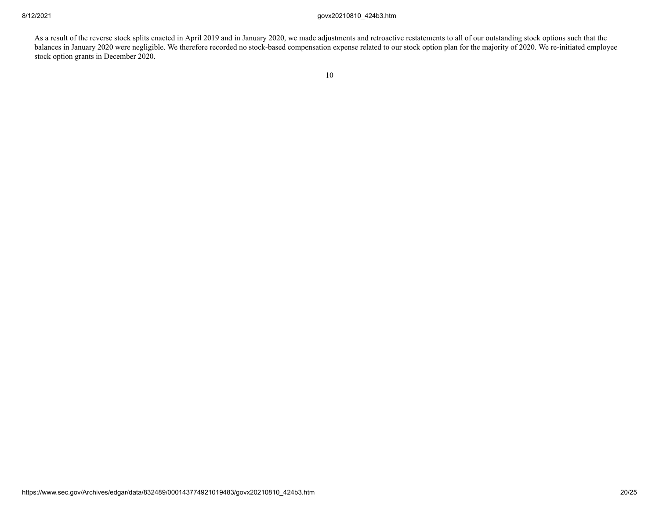As a result of the reverse stock splits enacted in April 2019 and in January 2020, we made adjustments and retroactive restatements to all of our outstanding stock options such that the balances in January 2020 were negligible. We therefore recorded no stock-based compensation expense related to our stock option plan for the majority of 2020. We re-initiated employee stock option grants in December 2020.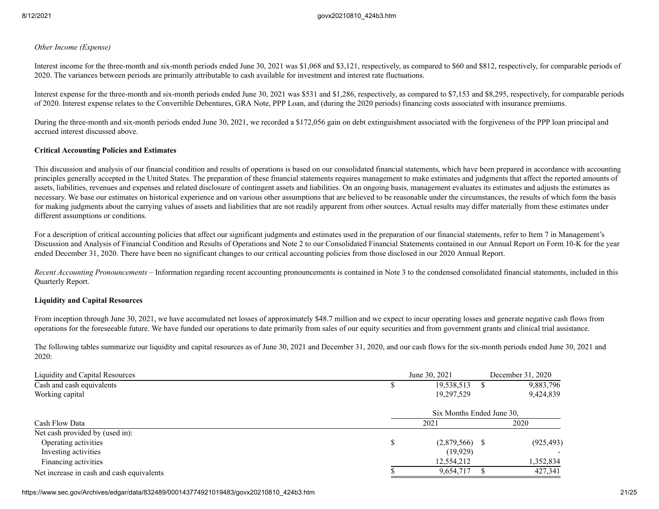#### *Other Income (Expense)*

Interest income for the three-month and six-month periods ended June 30, 2021 was \$1,068 and \$3,121, respectively, as compared to \$60 and \$812, respectively, for comparable periods of 2020. The variances between periods are primarily attributable to cash available for investment and interest rate fluctuations.

Interest expense for the three-month and six-month periods ended June 30, 2021 was \$531 and \$1,286, respectively, as compared to \$7,153 and \$8,295, respectively, for comparable periods of 2020. Interest expense relates to the Convertible Debentures, GRA Note, PPP Loan, and (during the 2020 periods) financing costs associated with insurance premiums.

During the three-month and six-month periods ended June 30, 2021, we recorded a \$172,056 gain on debt extinguishment associated with the forgiveness of the PPP loan principal and accrued interest discussed above.

#### **Critical Accounting Policies and Estimates**

This discussion and analysis of our financial condition and results of operations is based on our consolidated financial statements, which have been prepared in accordance with accounting principles generally accepted in the United States. The preparation of these financial statements requires management to make estimates and judgments that affect the reported amounts of assets, liabilities, revenues and expenses and related disclosure of contingent assets and liabilities. On an ongoing basis, management evaluates its estimates and adjusts the estimates as necessary. We base our estimates on historical experience and on various other assumptions that are believed to be reasonable under the circumstances, the results of which form the basis for making judgments about the carrying values of assets and liabilities that are not readily apparent from other sources. Actual results may differ materially from these estimates under different assumptions or conditions.

For a description of critical accounting policies that affect our significant judgments and estimates used in the preparation of our financial statements, refer to Item 7 in Management's Discussion and Analysis of Financial Condition and Results of Operations and Note 2 to our Consolidated Financial Statements contained in our Annual Report on Form 10-K for the year ended December 31, 2020. There have been no significant changes to our critical accounting policies from those disclosed in our 2020 Annual Report.

*Recent Accounting Pronouncements* – Information regarding recent accounting pronouncements is contained in Note 3 to the condensed consolidated financial statements, included in this Quarterly Report.

#### **Liquidity and Capital Resources**

From inception through June 30, 2021, we have accumulated net losses of approximately \$48.7 million and we expect to incur operating losses and generate negative cash flows from operations for the foreseeable future. We have funded our operations to date primarily from sales of our equity securities and from government grants and clinical trial assistance.

The following tables summarize our liquidity and capital resources as of June 30, 2021 and December 31, 2020, and our cash flows for the six-month periods ended June 30, 2021 and 2020:

| Liquidity and Capital Resources           |      | June 30, 2021             | December 31, 2020 |            |  |  |
|-------------------------------------------|------|---------------------------|-------------------|------------|--|--|
| Cash and cash equivalents                 |      | 19,538,513                |                   | 9,883,796  |  |  |
| Working capital                           |      | 19,297,529                |                   | 9,424,839  |  |  |
|                                           |      | Six Months Ended June 30, |                   |            |  |  |
| Cash Flow Data                            | 2021 |                           |                   | 2020       |  |  |
| Net cash provided by (used in):           |      |                           |                   |            |  |  |
| Operating activities                      | S    | $(2,879,566)$ \$          |                   | (925, 493) |  |  |
| Investing activities                      |      | (19,929)                  |                   |            |  |  |
| Financing activities                      |      | 12,554,212                |                   | 1,352,834  |  |  |
| Net increase in cash and cash equivalents |      | 9,654,717                 |                   | 427,341    |  |  |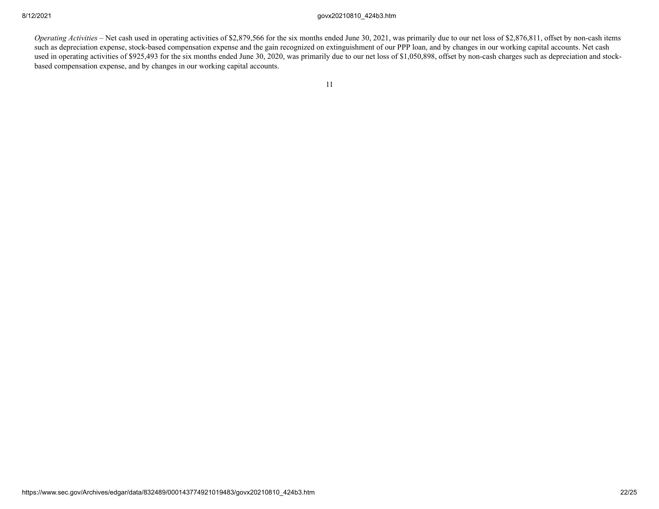*Operating Activities* – Net cash used in operating activities of \$2,879,566 for the six months ended June 30, 2021, was primarily due to our net loss of \$2,876,811, offset by non-cash items such as depreciation expense, stock-based compensation expense and the gain recognized on extinguishment of our PPP loan, and by changes in our working capital accounts. Net cash used in operating activities of \$925,493 for the six months ended June 30, 2020, was primarily due to our net loss of \$1,050,898, offset by non-cash charges such as depreciation and stockbased compensation expense, and by changes in our working capital accounts.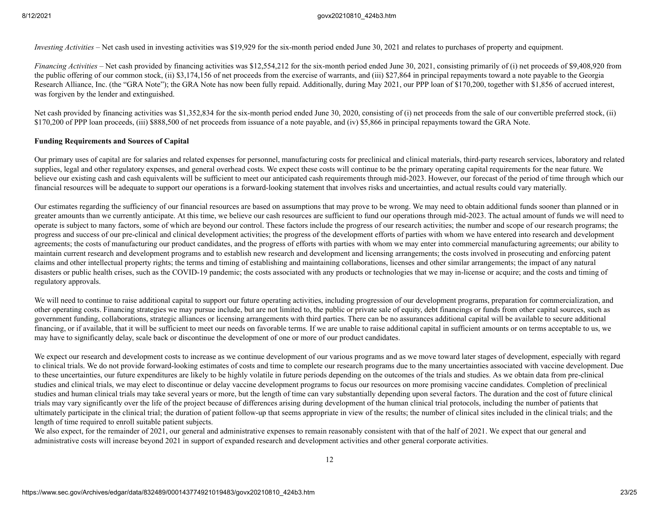*Investing Activities* – Net cash used in investing activities was \$19,929 for the six-month period ended June 30, 2021 and relates to purchases of property and equipment.

*Financing Activities* – Net cash provided by financing activities was \$12,554,212 for the six-month period ended June 30, 2021, consisting primarily of (i) net proceeds of \$9,408,920 from the public offering of our common stock, (ii) \$3,174,156 of net proceeds from the exercise of warrants, and (iii) \$27,864 in principal repayments toward a note payable to the Georgia Research Alliance, Inc. (the "GRA Note"); the GRA Note has now been fully repaid. Additionally, during May 2021, our PPP loan of \$170,200, together with \$1,856 of accrued interest, was forgiven by the lender and extinguished.

Net cash provided by financing activities was \$1,352,834 for the six-month period ended June 30, 2020, consisting of (i) net proceeds from the sale of our convertible preferred stock, (ii) \$170,200 of PPP loan proceeds, (iii) \$888,500 of net proceeds from issuance of a note payable, and (iv) \$5,866 in principal repayments toward the GRA Note.

### **Funding Requirements and Sources of Capital**

Our primary uses of capital are for salaries and related expenses for personnel, manufacturing costs for preclinical and clinical materials, third-party research services, laboratory and related supplies, legal and other regulatory expenses, and general overhead costs. We expect these costs will continue to be the primary operating capital requirements for the near future. We believe our existing cash and cash equivalents will be sufficient to meet our anticipated cash requirements through mid-2023. However, our forecast of the period of time through which our financial resources will be adequate to support our operations is a forward-looking statement that involves risks and uncertainties, and actual results could vary materially.

Our estimates regarding the sufficiency of our financial resources are based on assumptions that may prove to be wrong. We may need to obtain additional funds sooner than planned or in greater amounts than we currently anticipate. At this time, we believe our cash resources are sufficient to fund our operations through mid-2023. The actual amount of funds we will need to operate is subject to many factors, some of which are beyond our control. These factors include the progress of our research activities; the number and scope of our research programs; the progress and success of our pre-clinical and clinical development activities; the progress of the development efforts of parties with whom we have entered into research and development agreements; the costs of manufacturing our product candidates, and the progress of efforts with parties with whom we may enter into commercial manufacturing agreements; our ability to maintain current research and development programs and to establish new research and development and licensing arrangements; the costs involved in prosecuting and enforcing patent claims and other intellectual property rights; the terms and timing of establishing and maintaining collaborations, licenses and other similar arrangements; the impact of any natural disasters or public health crises, such as the COVID-19 pandemic; the costs associated with any products or technologies that we may in-license or acquire; and the costs and timing of regulatory approvals.

We will need to continue to raise additional capital to support our future operating activities, including progression of our development programs, preparation for commercialization, and other operating costs. Financing strategies we may pursue include, but are not limited to, the public or private sale of equity, debt financings or funds from other capital sources, such as government funding, collaborations, strategic alliances or licensing arrangements with third parties. There can be no assurances additional capital will be available to secure additional financing, or if available, that it will be sufficient to meet our needs on favorable terms. If we are unable to raise additional capital in sufficient amounts or on terms acceptable to us, we may have to significantly delay, scale back or discontinue the development of one or more of our product candidates.

We expect our research and development costs to increase as we continue development of our various programs and as we move toward later stages of development, especially with regard to clinical trials. We do not provide forward-looking estimates of costs and time to complete our research programs due to the many uncertainties associated with vaccine development. Due to these uncertainties, our future expenditures are likely to be highly volatile in future periods depending on the outcomes of the trials and studies. As we obtain data from pre-clinical studies and clinical trials, we may elect to discontinue or delay vaccine development programs to focus our resources on more promising vaccine candidates. Completion of preclinical studies and human clinical trials may take several years or more, but the length of time can vary substantially depending upon several factors. The duration and the cost of future clinical trials may vary significantly over the life of the project because of differences arising during development of the human clinical trial protocols, including the number of patients that ultimately participate in the clinical trial; the duration of patient follow-up that seems appropriate in view of the results; the number of clinical sites included in the clinical trials; and the length of time required to enroll suitable patient subjects.

We also expect, for the remainder of 2021, our general and administrative expenses to remain reasonably consistent with that of the half of 2021. We expect that our general and administrative costs will increase beyond 2021 in support of expanded research and development activities and other general corporate activities.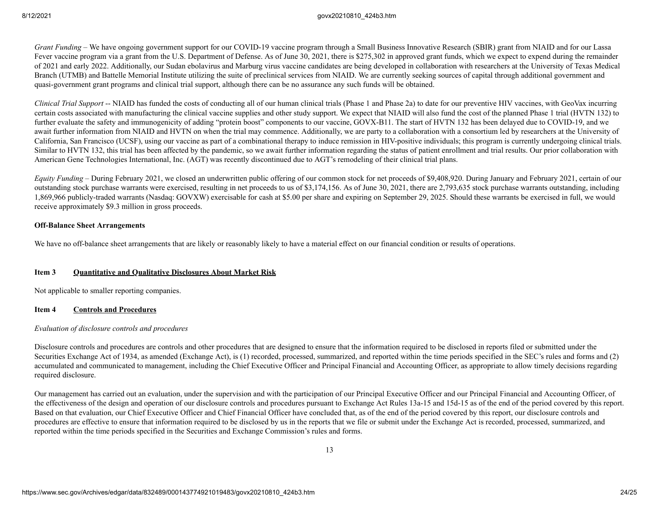*Grant Funding* – We have ongoing government support for our COVID-19 vaccine program through a Small Business Innovative Research (SBIR) grant from NIAID and for our Lassa Fever vaccine program via a grant from the U.S. Department of Defense. As of June 30, 2021, there is \$275,302 in approved grant funds, which we expect to expend during the remainder of 2021 and early 2022. Additionally, our Sudan ebolavirus and Marburg virus vaccine candidates are being developed in collaboration with researchers at the University of Texas Medical Branch (UTMB) and Battelle Memorial Institute utilizing the suite of preclinical services from NIAID. We are currently seeking sources of capital through additional government and quasi-government grant programs and clinical trial support, although there can be no assurance any such funds will be obtained.

*Clinical Trial Support* -- NIAID has funded the costs of conducting all of our human clinical trials (Phase 1 and Phase 2a) to date for our preventive HIV vaccines, with GeoVax incurring certain costs associated with manufacturing the clinical vaccine supplies and other study support. We expect that NIAID will also fund the cost of the planned Phase 1 trial (HVTN 132) to further evaluate the safety and immunogenicity of adding "protein boost" components to our vaccine, GOVX-B11. The start of HVTN 132 has been delayed due to COVID-19, and we await further information from NIAID and HVTN on when the trial may commence. Additionally, we are party to a collaboration with a consortium led by researchers at the University of California, San Francisco (UCSF), using our vaccine as part of a combinational therapy to induce remission in HIV-positive individuals; this program is currently undergoing clinical trials. Similar to HVTN 132, this trial has been affected by the pandemic, so we await further information regarding the status of patient enrollment and trial results. Our prior collaboration with American Gene Technologies International, Inc. (AGT) was recently discontinued due to AGT's remodeling of their clinical trial plans.

*Equity Funding* – During February 2021, we closed an underwritten public offering of our common stock for net proceeds of \$9,408,920. During January and February 2021, certain of our outstanding stock purchase warrants were exercised, resulting in net proceeds to us of \$3,174,156. As of June 30, 2021, there are 2,793,635 stock purchase warrants outstanding, including 1,869,966 publicly-traded warrants (Nasdaq: GOVXW) exercisable for cash at \$5.00 per share and expiring on September 29, 2025. Should these warrants be exercised in full, we would receive approximately \$9.3 million in gross proceeds.

### **Off-Balance Sheet Arrangements**

We have no off-balance sheet arrangements that are likely or reasonably likely to have a material effect on our financial condition or results of operations.

#### **Item 3 Quantitative and Qualitative Disclosures About Market Risk**

Not applicable to smaller reporting companies.

#### **Item 4 Controls and Procedures**

#### *Evaluation of disclosure controls and procedures*

Disclosure controls and procedures are controls and other procedures that are designed to ensure that the information required to be disclosed in reports filed or submitted under the Securities Exchange Act of 1934, as amended (Exchange Act), is (1) recorded, processed, summarized, and reported within the time periods specified in the SEC's rules and forms and (2) accumulated and communicated to management, including the Chief Executive Officer and Principal Financial and Accounting Officer, as appropriate to allow timely decisions regarding required disclosure.

Our management has carried out an evaluation, under the supervision and with the participation of our Principal Executive Officer and our Principal Financial and Accounting Officer, of the effectiveness of the design and operation of our disclosure controls and procedures pursuant to Exchange Act Rules 13a-15 and 15d-15 as of the end of the period covered by this report. Based on that evaluation, our Chief Executive Officer and Chief Financial Officer have concluded that, as of the end of the period covered by this report, our disclosure controls and procedures are effective to ensure that information required to be disclosed by us in the reports that we file or submit under the Exchange Act is recorded, processed, summarized, and reported within the time periods specified in the Securities and Exchange Commission's rules and forms.